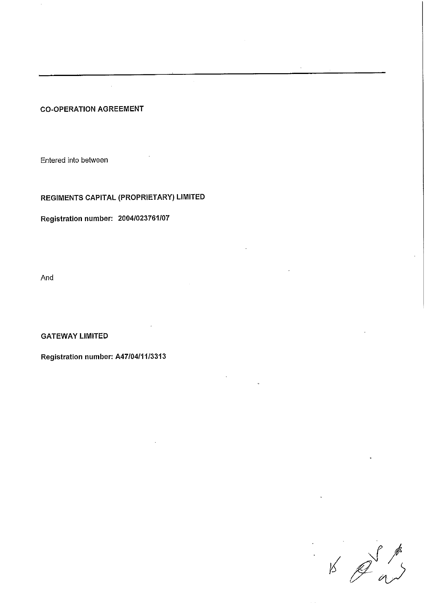# **CO-OPERATION AGREEMENT**

Entered into between

**REGIMENTS CAPITAL (PROPRIETARY) LIMITED**

**Registration number: 2004/023761/07**

And

**GATEWAY LIMITED** 

**Registration number: A47/04/11/3313**

 $\frac{1}{2}$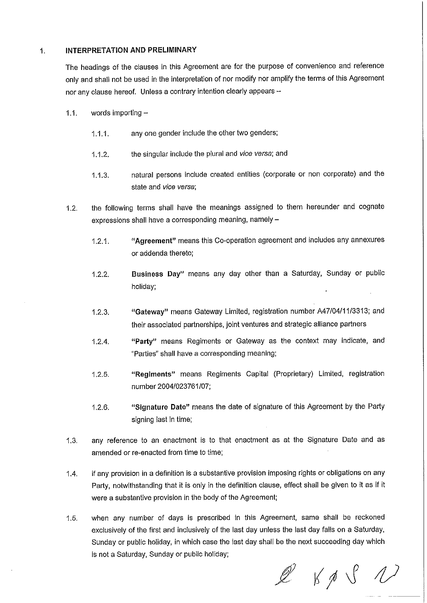#### 1. **INTERPRETATION AND PRELIMINARY**

The headings of the clauses in this Agreement are for the purpose of convenience and reference only and shall not be used in the interpretation of nor modify nor amplify the terms of this Agreement nor any clause hereof. Unless a contrary intention clearly appears -

- 1.1. words importing  $-$ 
	- 1.1.1. any one gender include the other two genders;
	- 1.1.2. the singular include the plural and vice versa; and
	- 1.1.3. natural persons include created entities (corporate or non corporate) and the state and vice versa;
- 1.2. the following terms shall have the meanings assigned to them hereunder and cognate expressions shall have a corresponding meaning, namely  $-$ 
	- **1.2.1. "Agreement"** means this Co-operation agreement and includes any annexures or addenda thereto;
	- **Business Day"** means any day other than a Saturday, Sunday or public holiday; 1.2.2.
	- 1.2.3. "Gateway" means Gateway Limited, registration number A47/04/11/3313; and their associated partnerships, joint ventures and strategic alliance partners
	- 1.2.4. **"Party"** means Regiments or Gateway as the context may indicate, and "Parties" shall have a corresponding meaning;
	- 1.2.5. **"Regiments"** means Regiments Capital (Proprietary) Limited, registration number 2004/023761/07;
	- **"Signature Date"** means the date of signature of this Agreement by the Party signing last in time; 1.2.6.
- 1.3. any reference to an enactment is to that enactment as at the Signature Date and as amended or re-enacted from time to time;
- 1.4. if any provision in a definition is a substantive provision imposing rights or obligations on any Party, notwithstanding that it is only in the definition clause, effect shall be given to it as if it were a substantive provision in the body of the Agreement;
- 1.5. when any number of days is prescribed in this Agreement, same shall be reckoned exclusively of the first and inclusively of the last day unless the last day falls on a Saturday, Sunday or public holiday, in which case the last day shall be the next succeeding day which is not a Saturday, Sunday or public holiday;

 $\mathscr{Q}$   $\ltimes$   $\varphi$   $\vee$   $\wedge$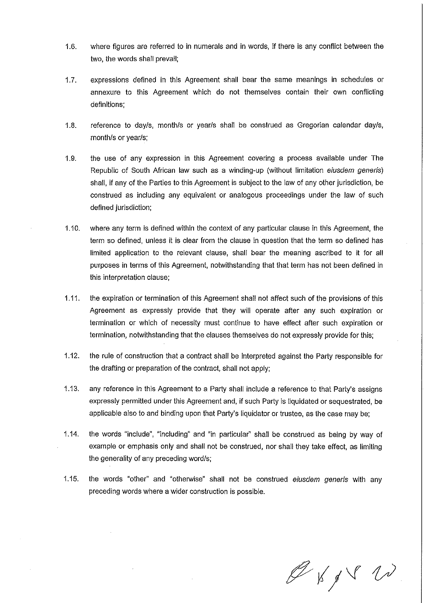- 1.6. wh ere figures are referred to in numerals and in words, if there is any conflict between the two, the words shall prevail;
- 1.7. ex pressions defined in this Agreement shall bear the same meanings in schedules or annexure to this Agreement which do not themselves contain their own conflicting definitions;
- 1.8. re ference to day/s, month/s or year/s shall be construed as Gregorian calendar day/s, month/s or year/s;
- 1.9. the use of any expression in this Agreement covering a process available under The Republic of South African law such as a winding-up (without limitation eiusdem generis) shall, if any of the Parties to this Agreement is subject to the law of any other jurisdiction, be construed as including any equivalent or analogous proceedings under the law of such defined jurisdiction;
- 1.10. where any term is defined within the context of any particular clause in this Agreement, the term so defined, unless it is clear from the clause in question that the term so defined has limited application to the relevant clause, shall bear the meaning ascribed to it for all purposes in terms of this Agreement, notwithstanding that that term has not been defined in this interpretation clause;
- 1.11. the expiration or termination of this Agreement shall not affect such of the provisions of this Agreement as expressly provide that they will operate after any such expiration or termination or which of necessity must continue to have effect after such expiration or termination, notwithstanding that the clauses themselves do not expressly provide for this;
- 1.12. the rule of construction that a contract shall be interpreted against the Party responsible for the drafting or preparation of the contract, shall not apply;
- 1.13, any reference in this Agreement to a Party shall include a reference to that Party's assigns expressly permitted under this Agreement and, if such Party is liquidated or sequestrated, be applicable also to and binding upon that Party's liquidator or trustee, as the case may be;
- 1.14. the words "include", "including" and "in particular" shall be construed as being by way of example or emphasis only and shall not be construed, nor shall they take effect, as limiting the generality of any preceding word/s;
- 1.15. the words "other" and "otherwise" shall not be construed eiusdem generis with any preceding words where a wider construction is possible.

 $\mathscr{G}$  of  $\mathscr{S}$   $\mathscr{N}$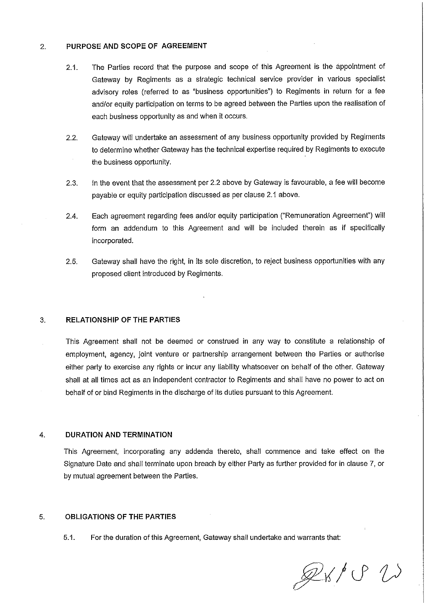#### $2.$ **PURPOSE AND SCOPE OF AGREEMENT**

- 2.1. The Parties record that the purpose and scope of this Agreement is the appointment of Gateway by Regiments as a strategic technical service provider in various specialist advisory roles (referred to as "business opportunities") to Regiments in return for a fee and/or equity participation on terms to be agreed between the Parties upon the realisation of each business opportunity as and when it occurs.
- 2.2. Gateway will undertake an assessment of any business opportunity provided by Regiments to determine whether Gateway has the technical expertise required by Regiments to execute the business opportunity.
- 2.3. In the event that the assessment per 2.2 above by Gateway is favourable, a fee will become payable or equity participation discussed as per clause 2.1 above.
- 2.4. Each agreement regarding fees and/or equity participation ("Remuneration Agreement") will form an addendum to this Agreement and will be included therein as if specifically incorporated.
- 2.5. Gateway shall have the right, in its sole discretion, to reject business opportunities with any proposed client introduced by Regiments.

#### 3. **RELATIONSHIP OF THE PARTIES**

This Agreement shall not be deemed or construed in any way to constitute a relationship of employment, agency, joint venture or partnership arrangement between the Parties or authorise either party to exercise any rights or incur any liability whatsoever on behalf of the other. Gateway shall at all times act as an independent contractor to Regiments and shall have no power to act on behalf of or bind Regiments in the discharge of its duties pursuant to this Agreement.

## **4. DURATION AND TERMINATION**

This Agreement, incorporating any addenda thereto, shall commence and take effect on the Signature Date and shall terminate upon breach by either Party as further provided for in clause 7, or by mutual agreement between the Parties.

### **5. O BLIGATIONS OF THE PARTIES**

5.1. For the duration of this Agreement, Gateway shall undertake and warrants that:

 $Qx/OU$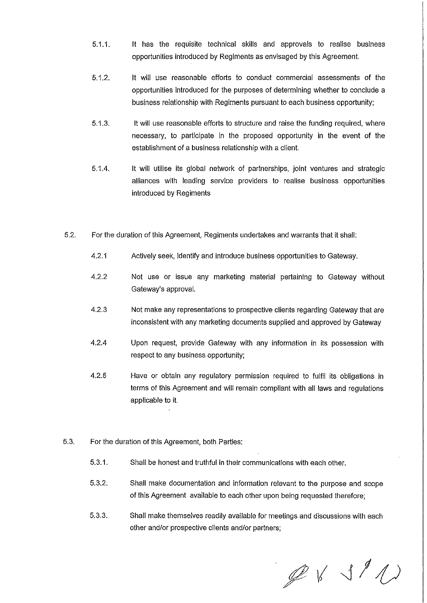- 5.1.1. It has the requisite technical skills and approvals to realise business opportunities introduced by Regiments as envisaged by this Agreement.
- 5.1.2. It will use reasonable efforts to conduct commercial assessments of the opportunities introduced for the purposes of determining whether to conclude a business relationship with Regiments pursuant to each business opportunity;
- 5.1.3. It will use reasonable efforts to structure and raise the funding required, where necessary, to participate in the proposed opportunity in the event of the establishment of a business relationship with a client.
- It will utilise its global network of partnerships, joint ventures and strategic alliances with leading service providers to realise business opportunities introduced by Regiments 5.1.4.
- 5.2. Fo r the duration of this Agreement, Regiments undertakes and warrants that it shall:
	- 4.2.1 Actively seek, identify and introduce business opportunities to Gateway.
	- 4.2.2 Not use or issue any marketing material pertaining to Gateway without Gateway's approval.
	- 4.2.3 Not make any representations to prospective clients regarding Gateway that are inconsistent with any marketing documents supplied and approved by Gateway
	- 4.2.4 Upon request, provide Gateway with any information in its possession with respect to any business opportunity;
	- Have or obtain any regulatory permission required to fulfil its obligations in terms of this Agreement and will remain compliant with all laws and regulations applicable to it. 4.2.5
- 5.3. For the duration of this Agreement, both Parties:
	- 5.3.1. Shall be honest and truthful in their communications with each other.
	- 5.3.2. Shall make documentation and information relevant to the purpose and scope of this Agreement available to each other upon being requested therefore;
	- Shall make themselves readily available for meetings and discussions with each other and/or prospective clients and/or partners; 5.3.3.

 $Q$   $\vee$   $\vee$  1/1)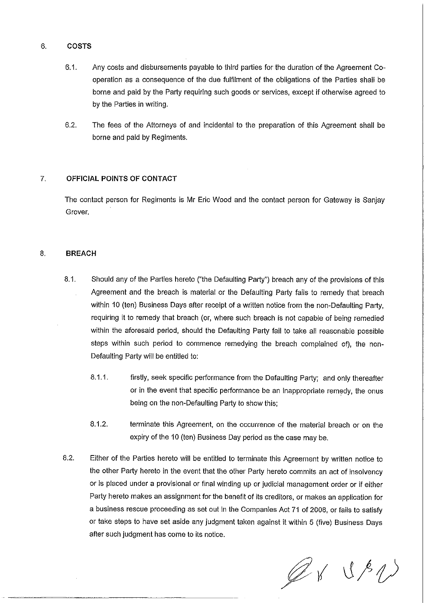### **COSTS** 6.

- 6.1. Any costs and disbursements payable to third parties for the duration of the Agreement Cooperation as a consequence of the due fulfilment of the obligations of the Parties shall be borne and paid by the Party requiring such goods or services, except if otherwise agreed to by the Parties in writing.
- 6.2. The fees of the Attorneys of and incidental to the preparation of this Agreement shall be borne and paid by Regiments.

# **7. O FF ICIAL POINTS OF CONTACT**

The contact person for Regiments is Mr Eric Wood and the contact person for Gateway is Sanjay Grover.

# 8. BREACH

- 8.1. Should any of the Parties hereto ("the Defaulting Party") breach any of the provisions of this Agreement and the breach is material or the Defaulting Party fails to remedy that breach within 10 (ten) Business Days after receipt of a written notice from the non-Defaulting Party, requiring it to remedy that breach (or, where such breach is not capable of being remedied within the aforesaid period, should the Defaulting Party fail to take all reasonable possible steps within such period to commence remedying the breach complained of), the non-Defaulting Party will be entitled to:
	- 8.1.1. firstly, seek specific performance from the Defaulting Party; and only thereafter or in the event that specific performance be an inappropriate remedy, the onus being on the non-Defaulting Party to show this;
	- 8.1.2. terminate this Agreement, on the occurrence of the material breach or on the expiry of the 10 (ten) Business Day period as the case may be.
- 8.2. Either of the Parties hereto will be entitled to terminate this Agreement by written notice to the other Party hereto in the event that the other Party hereto commits an act of insolvency or is placed under a provisional or final winding up or judicial management order or if either Party hereto makes an assignment for the benefit of its creditors, or makes an application for a business rescue proceeding as set out in the Companies Act 71 of 2008, or fails to satisfy or take steps to have set aside any judgment taken against it within 5 (five) Business Days after such judgment has come to its notice.

 $Q$  & U R U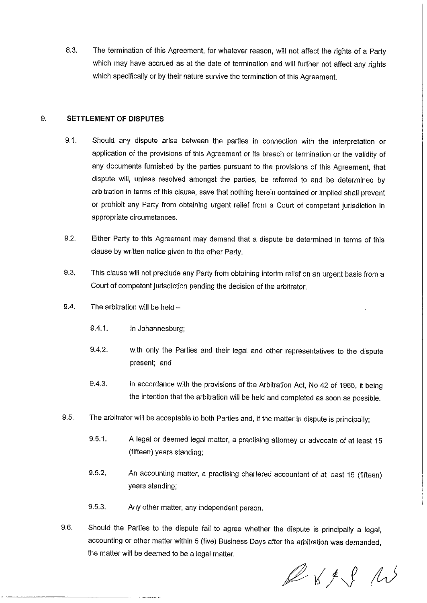8.3. The termination of this Agreement, for whatever reason, will not affect the rights of a Party which may have accrued as at the date of termination and will further not affect any rights which specifically or by their nature survive the termination of this Agreement.

### $9.$ **SETTLEMENT OF DISPUTES**

- 9.1. Should any dispute arise between the parties in connection with the interpretation or application of the provisions of this Agreement or its breach or termination or the validity of any documents furnished by the parties pursuant to the provisions of this Agreement, that dispute will, unless resolved amongst the parties, be referred to and be determined by arbitration in terms of this clause, save that nothing herein contained or implied shall prevent or prohibit any Party from obtaining urgent relief from a Court of competent jurisdiction in appropriate circumstances.
- 9.2. Either Party to this Agreement may demand that a dispute be determined in terms of this clause by written notice given to the other Party.
- 9.3. This clause will not preclude any Party from obtaining interim relief on an urgent basis from a Court of competent jurisdiction pending the decision of the arbitrator.
- 9.4. The arbitration will be held  $-$ 
	- 9.4.1. in Johannesburg;
	- 9.4.2. with only the Parties and their legal and other representatives to the dispute present; and
	- 9.4.3. in accordance with the provisions of the Arbitration Act, No 42 of 1965, it being the intention that the arbitration will be held and completed as soon as possible.
- 9.5. The arbitrator will be acceptable to both Parties and, if the matter in dispute is principally;
	- 9.5.1. A legal or deemed legal matter, a practising attorney or advocate of at least 15 (fifteen) years standing;
	- 9.5.2. An accounting matter, a practising chartered accountant of at least 15 (fifteen) years standing;
	- 9.5.3. Any other matter, any independent person
- 9.6. Should the Parties to the dispute fail to agree whether the dispute is principally a legal, accounting or other matter within 5 (five) Business Days after the arbitration was demanded the matter will be deemed to be a legal matter.

 $\ell$   $\kappa$   $\ell$  as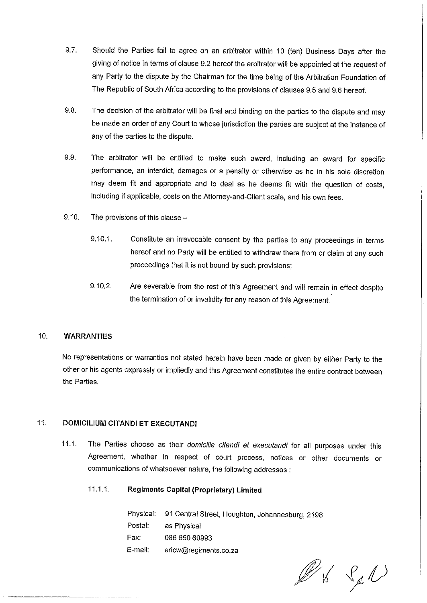- 9.7. Should the Parties fail to agree on an arbitrator within 10 (ten) Business Days after the giving of notice in terms of clause 9.2 hereof the arbitrator will be appointed at the request of any Party to the dispute by the Chairman for the time being of the Arbitration Foundation of The Republic of South Africa according to the provisions of clauses 9.5 and 9.6 hereof.
- 9.8. 'The decision of the arbitrator will be final and binding on the parties to the dispute and may be made an order of any Court to whose jurisdiction the parties are subject at the instance of any of the parties to the dispute.
- 9.9. The arbitrator will be entitled to make such award, including an award for specific performance, an interdict, damages or a penalty or otherwise as he in his sole discretion may deem fit and appropriate and to deal as he deems fit with the question of costs, including if applicable, costs on the Attorney-and-Client scale, and his own fees.
- 9.10. The provisions of this clause  $-$ 
	- 9.10.1. Constitute an irrevocable consent by the parties to any proceedings in terms hereof and no Party will be entitled to withdraw there from or claim at any such proceedings that it is not bound by such provisions;
	- 9.10.2. Are severable from the rest of this Agreement and will remain in effect despite the termination of or invalidity for any reason of this Agreement.

# 10. **WARR ANTIES**

No representations or warranties not stated herein have been made or given by either Party to the other or his agents expressly or impliedly and this Agreement constitutes the entire contract between the Parties.

# 11. **DOMI CILIUM CITANDI ET EXEC UTANDI**

- 11.1. The Parties choose as their domicilia citandi et executandi for all purposes under this Agreement, whether in respect of court process, notices or other documents or communications of whatsoever nature, the following addresses:
	- 11.1.1. **Regiments Capital (Proprietary) Limited**

|         | Physical: 91 Central Street, Houghton, Johannesburg, 2198 |
|---------|-----------------------------------------------------------|
| Postal: | as Physical                                               |
| Fax.    | 086 650 60993                                             |
| E-mail: | ericw@regiments.co.za                                     |

K Sel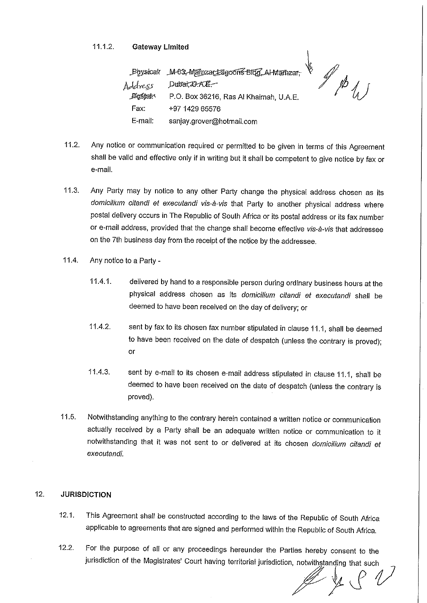# 11.1.2. **Gate way Limited**

M-03-Mainzartzagoons-Bldg, Al-Manzar-**Physical**  $\Delta$ ddress Dubat,  $\Delta A$ . E. Bestan P.O. Box 36216, Ras Al Khaimah, U.A.E Fax: +97 1429 65576 E-mail: sanjay.grover@hotmail.corn

- 11.2. A ny notice or communication required or permitted to be given in terms of this Agreement shall be valid and effective only if in writing but it shall be competent to give notice by fax or e-mail.
- 11.3. Any Party may by notice to any other Party change the physical address chosen as its domicilium citandi et executandi vis-à-vis that Party to another physical address where postal delivery occurs in The Republic of South Africa or its postal address or its fax number or e-mail address, provided that the change shall become effective vis-à-vis that addressee on the 7th business day from the receipt of the notice by the addressee.
- 11.4. Any notice to a Party -
	- 11.4.1. delivered by hand to a responsible person during ordinary business hours at the physical address chosen as its domicilium citandi et executandi shall be deemed to have been received on the day of delivery; or
	- 11.4.2. sent by fax to its chosen fax number stipulated in clause 11.1, shall be deemed to have been received on the date of despatch (unless the contrary is proved); or
	- 11.4.3. sent by e-mail to its chosen e-mail address stipulated in clause 11.1, shall be deemed to have been received on the date of despatch (unless the contrary is proved).
- 11.5. N otwithstanding anything to the contrary herein contained a written notice or communication actually received by a Party shall be an adequate written notice or communication to it notwithstanding that it was not sent to or delivered at its chosen domicilium citandi et execufandi.

### $12.$ **JURISDICTION**

- 12.1. This Agreement shall be constructed according to the laws of the Republic of South Africa applicable to agreements that are signed and performed within the Republic of South Africa.
- 12.2. For the purpose of all or any proceedings hereunder the Parties hereby consent to the jurisdiction of the Magistrates' Court having territorial jurisdiction, notwithstanding that such

 $\vee$ 

r fyrir Llyfri

 $\mathbb{Z}^{\mathbb{Z}}$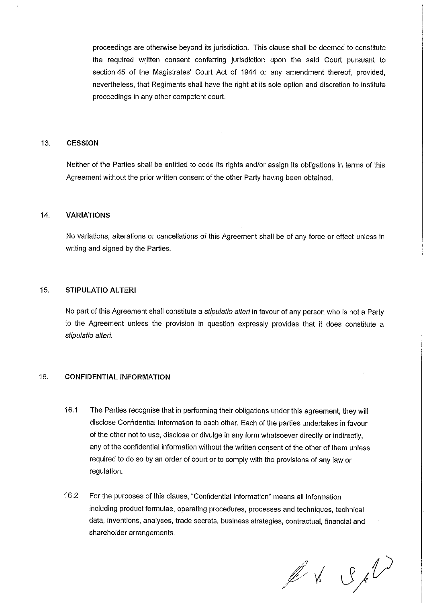proceedings are otherwise beyond its jurisdiction. This clause shall be deemed to constitute the required written consent conferring jurisdiction upon the said Court pursuant to section 45 of the Magistrates' Court Act of 1944 or any amendment thereof, provided, nevertheless, that Regiments shall have the right at its sole option and discretion to institute proceedings in any other competent court.

### 13. **CESS ION**

Neither of the Parties shall be entitled to cede its rights and/or assign its obligations in terms of this Agreement without the prior written consent of the other Party having been obtained.

## 14. **VARIATIONS**

No variations, alterations or cancelfations of this Agreement shall be of any force or effect unless in writing and signed by the Parties.

# 15. **STIP ULATIO ALTERI**

No part of this Agreement shall constitute a *stipulatio alteri* in favour of any person who is not a Party to the Agreement unless the provision in question expressly provides that it does constitute a stipulatio alteri.

# 16. **CONF IDENTIAL INFORINATION**

- 16.1 The Parties recognise that in performing their obligations under this agreement, they will disclose Confidential Information to each other. Each of the parties undertakes in favour of the other not to use, disclose or divulge in any form whatsoever directly or indirectly, any of the confidential information without the written consent of the other of them unless required to do so by an order of court or to comply with the provisions of any law or regulation.
- 16.2 For the purposes of this clause, "Confidential Information" means all information including product formulae, operating procedures, processes and techniques, technical data, inventions, analyses, trade secrets, business strategies, contractual, financial and shareholder arrangements.

 $\n *l l l l l l l l l l l l l l l l l l l l l l l l l l l l l l l* <$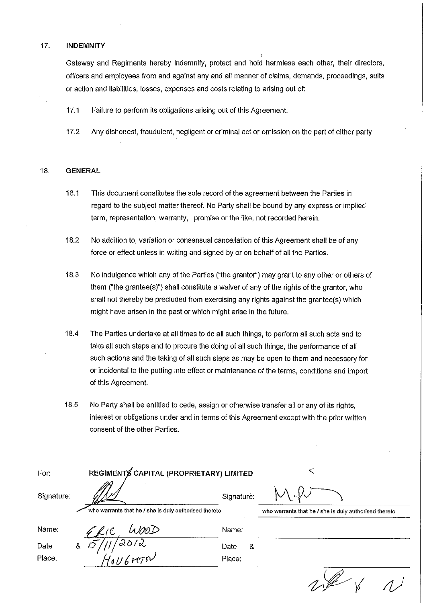## 17. **INDEMNITY**

Gateway and Regiments hereby indemnify, protect and hold harmless each other, their directors, officers and employees from and against any and all manner of claims, demands, proceedings, suits or action and liabilities, losses, expenses and costs relating to arising out of:

17.1 Failure to perform its obligations arising out of this Agreement.

17.2 A ny dishonest, fraudulent, negligent or criminal act or omission on the part of either party

### 18. **GENERAL**

- 18.1 This document constitutes the sole record of the agreement between the Parties in regard to the subject matter thereof. No Party shall be bound by any express or implied term, representation, warranty, promise or the like, not recorded herein.
- 18.2 No addition to, variation or consensual cancellation of this Agreement shall be of any force or effect unless in writing and signed by or on behalf of all the Parties.
- 18.3 No indulgence which any of the Parties ("the grantor") may grant to any other or others of them ("the grantee(s)") shall constitute a waiver of any of the rights of the grantor, who shall not thereby be precluded from exercising any rights against the grantee(s) which might have arisen in the past or which might arise in the future.
- 18.4 T he Parties undertake at all times to do all such things, to perform all such acts and to take all such steps and to procure the doing of all such things, the performance of all such actions and the taking of all such steps as may be open to them and necessary for or incidental to the putting into effect or maintenance of the terms, conditions and import of this Agreement.
- 18.5 No Party shall be entitled to cede, assign or otherwise transfer all or any of its rights, interest or obligations under and in terms of this Agreement except with the prior written consent of the other Parties.

| For:       | REGIMENTS CAPITAL (PROPRIETARY) LIMITED               |            |                                                       |  |
|------------|-------------------------------------------------------|------------|-------------------------------------------------------|--|
| Signature: |                                                       | Signature: |                                                       |  |
|            | who warrants that he / she is duly authorised thereto |            | who warrants that he / she is duly authorised thereto |  |
| Name:      | JooD                                                  | Name:      |                                                       |  |
| Date       | &                                                     | Date<br>8. |                                                       |  |
| Place:     | $\sqrt{\frac{20}{2}}$                                 | Place:     |                                                       |  |
|            |                                                       |            |                                                       |  |